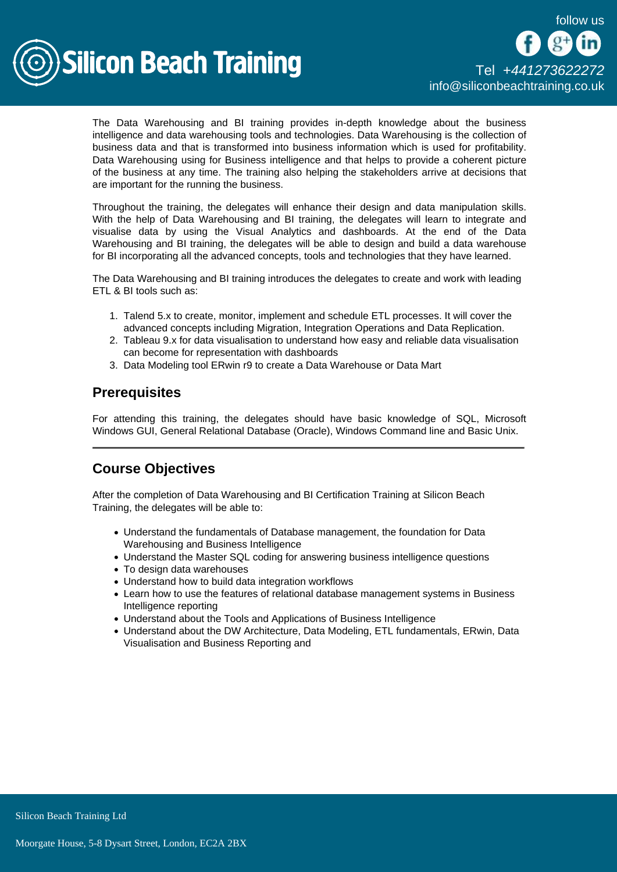

The Data Warehousing and BI training provides in-depth knowledge about the business intelligence and data warehousing tools and technologies. Data Warehousing is the collection of business data and that is transformed into business information which is used for profitability. Data Warehousing using for Business intelligence and that helps to provide a coherent picture of the business at any time. The training also helping the stakeholders arrive at decisions that are important for the running the business.

Throughout the training, the delegates will enhance their design and data manipulation skills. With the help of Data Warehousing and BI training, the delegates will learn to integrate and visualise data by using the Visual Analytics and dashboards. At the end of the Data Warehousing and BI training, the delegates will be able to design and build a data warehouse for BI incorporating all the advanced concepts, tools and technologies that they have learned.

The Data Warehousing and BI training introduces the delegates to create and work with leading ETL & BI tools such as:

- 1. Talend 5.x to create, monitor, implement and schedule ETL processes. It will cover the advanced concepts including Migration, Integration Operations and Data Replication.
- 2. Tableau 9.x for data visualisation to understand how easy and reliable data visualisation can become for representation with dashboards
- 3. Data Modeling tool ERwin r9 to create a Data Warehouse or Data Mart

# **Prerequisites**

For attending this training, the delegates should have basic knowledge of SQL, Microsoft Windows GUI, General Relational Database (Oracle), Windows Command line and Basic Unix.

# Course Objectives

After the completion of Data Warehousing and BI Certification Training at Silicon Beach Training, the delegates will be able to:

- Understand the fundamentals of Database management, the foundation for Data Warehousing and Business Intelligence
- Understand the Master SQL coding for answering business intelligence questions
- To design data warehouses
- Understand how to build data integration workflows
- Learn how to use the features of relational database management systems in Business Intelligence reporting
- Understand about the Tools and Applications of Business Intelligence
- Understand about the DW Architecture, Data Modeling, ETL fundamentals, ERwin, Data Visualisation and Business Reporting and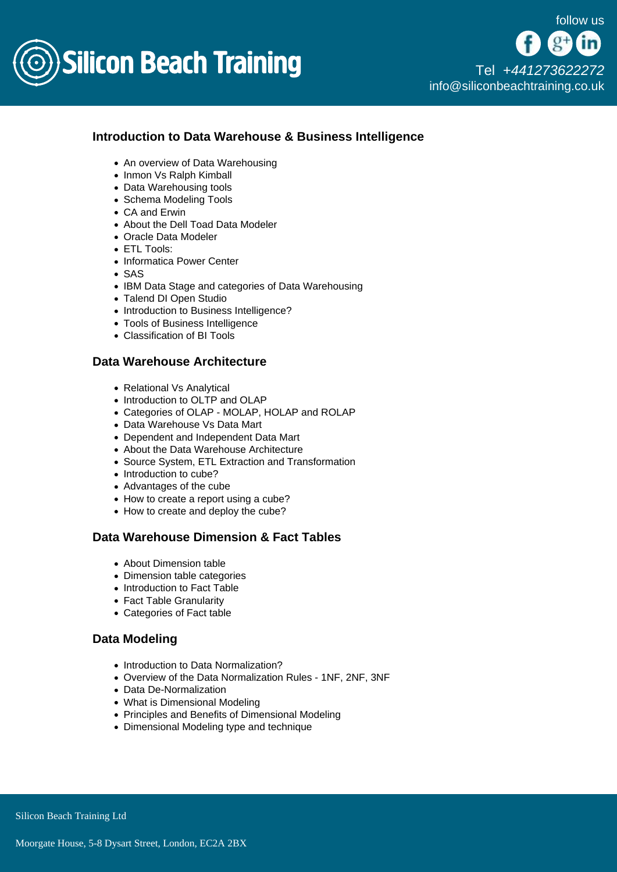

[Tel +44](tel:+441273622272)1273622272 [info@siliconbeachtraining.co.uk](/var/www/html/siliconbeachtraining.co.uk/public/mailTo:info@siliconbeachtraining.co.uk)

## Introduction to Data Warehouse & Business Intelligence

- An overview of Data Warehousing
- Inmon Vs Ralph Kimball
- Data Warehousing tools
- Schema Modeling Tools
- CA and Erwin
- About the Dell Toad Data Modeler
- Oracle Data Modeler
- ETL Tools:
- Informatica Power Center
- SAS
- IBM Data Stage and categories of Data Warehousing
- Talend DI Open Studio
- Introduction to Business Intelligence?
- Tools of Business Intelligence
- Classification of BI Tools

#### Data Warehouse Architecture

- Relational Vs Analytical
- Introduction to OLTP and OLAP
- Categories of OLAP MOLAP, HOLAP and ROLAP
- Data Warehouse Vs Data Mart
- Dependent and Independent Data Mart
- About the Data Warehouse Architecture
- Source System, ETL Extraction and Transformation
- Introduction to cube?
- Advantages of the cube
- How to create a report using a cube?
- How to create and deploy the cube?

## Data Warehouse Dimension & Fact Tables

- About Dimension table
- Dimension table categories
- Introduction to Fact Table
- Fact Table Granularity
- Categories of Fact table

## Data Modeling

- Introduction to Data Normalization?
- Overview of the Data Normalization Rules 1NF, 2NF, 3NF
- Data De-Normalization
- What is Dimensional Modeling
- Principles and Benefits of Dimensional Modeling
- Dimensional Modeling type and technique

Silicon Beach Training Ltd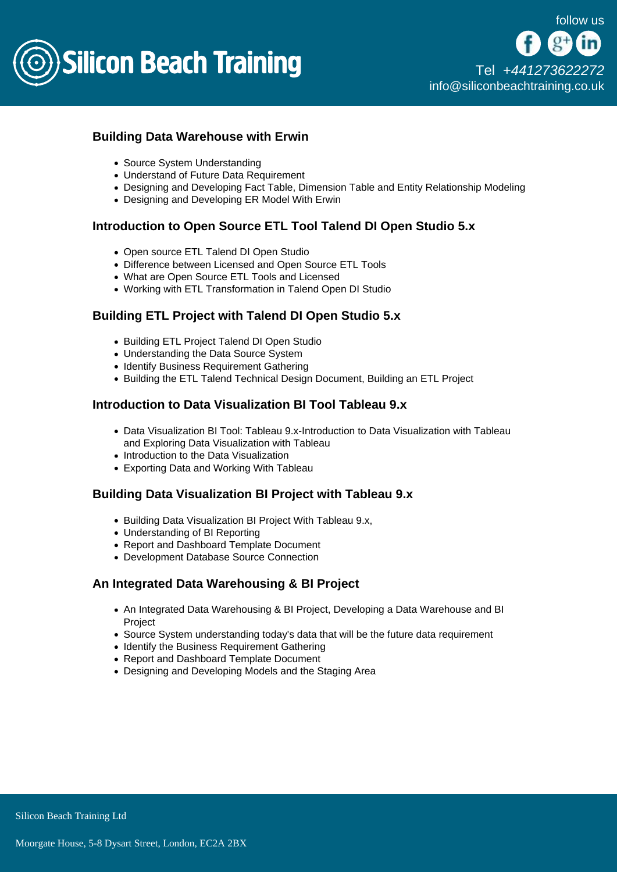

## Building Data Warehouse with Erwin

- Source System Understanding
- Understand of Future Data Requirement
- Designing and Developing Fact Table, Dimension Table and Entity Relationship Modeling
- Designing and Developing ER Model With Erwin

Introduction to Open Source ETL Tool Talend DI Open Studio 5.x

- Open source ETL Talend DI Open Studio
- Difference between Licensed and Open Source ETL Tools
- What are Open Source ETL Tools and Licensed
- Working with ETL Transformation in Talend Open DI Studio

## Building ETL Project with Talend DI Open Studio 5.x

- Building ETL Project Talend DI Open Studio
- Understanding the Data Source System
- Identify Business Requirement Gathering
- Building the ETL Talend Technical Design Document, Building an ETL Project

## Introduction to Data Visualization BI Tool Tableau 9.x

- Data Visualization BI Tool: Tableau 9.x-Introduction to Data Visualization with Tableau and Exploring Data Visualization with Tableau
- Introduction to the Data Visualization
- Exporting Data and Working With Tableau

#### Building Data Visualization BI Project with Tableau 9.x

- Building Data Visualization BI Project With Tableau 9.x,
- Understanding of BI Reporting
- Report and Dashboard Template Document
- Development Database Source Connection

#### An Integrated Data Warehousing & BI Project

- An Integrated Data Warehousing & BI Project, Developing a Data Warehouse and BI Project
- Source System understanding today's data that will be the future data requirement
- Identify the Business Requirement Gathering
- Report and Dashboard Template Document
- Designing and Developing Models and the Staging Area